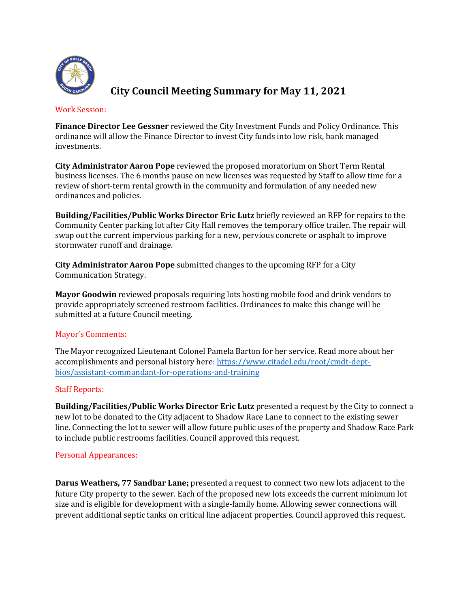

# **City Council Meeting Summary for May 11, 2021**

### Work Session:

**Finance Director Lee Gessner** reviewed the City Investment Funds and Policy Ordinance. This ordinance will allow the Finance Director to invest City funds into low risk, bank managed investments.

**City Administrator Aaron Pope** reviewed the proposed moratorium on Short Term Rental business licenses. The 6 months pause on new licenses was requested by Staff to allow time for a review of short-term rental growth in the community and formulation of any needed new ordinances and policies.

**Building/Facilities/Public Works Director Eric Lutz** briefly reviewed an RFP for repairs to the Community Center parking lot after City Hall removes the temporary office trailer. The repair will swap out the current impervious parking for a new, pervious concrete or asphalt to improve stormwater runoff and drainage.

**City Administrator Aaron Pope** submitted changes to the upcoming RFP for a City Communication Strategy.

**Mayor Goodwin** reviewed proposals requiring lots hosting mobile food and drink vendors to provide appropriately screened restroom facilities. Ordinances to make this change will be submitted at a future Council meeting.

### Mayor's Comments:

The Mayor recognized Lieutenant Colonel Pamela Barton for her service. Read more about her accomplishments and personal history here: https://www.citadel.edu/root/cmdt-deptbios/assistant-commandant-for-operations-and-training

### **Staff Reports:**

**Building/Facilities/Public Works Director Eric Lutz** presented a request by the City to connect a new lot to be donated to the City adjacent to Shadow Race Lane to connect to the existing sewer line. Connecting the lot to sewer will allow future public uses of the property and Shadow Race Park to include public restrooms facilities. Council approved this request.

### Personal Appearances:

**Darus Weathers, 77 Sandbar Lane;** presented a request to connect two new lots adjacent to the future City property to the sewer. Each of the proposed new lots exceeds the current minimum lot size and is eligible for development with a single-family home. Allowing sewer connections will prevent additional septic tanks on critical line adjacent properties. Council approved this request.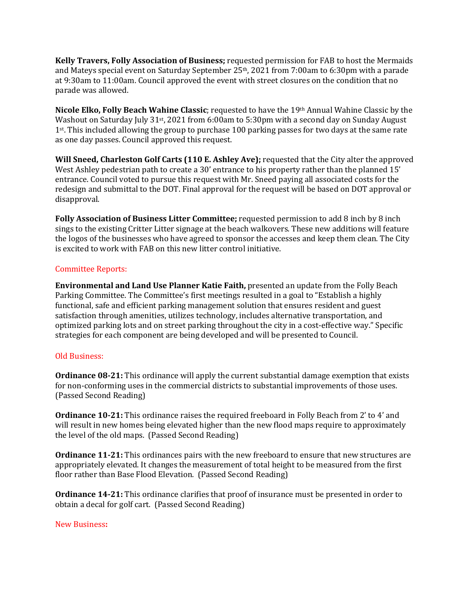**Kelly Travers, Folly Association of Business;** requested permission for FAB to host the Mermaids and Mateys special event on Saturday September  $25<sup>th</sup>$ , 2021 from 7:00am to 6:30pm with a parade at 9:30am to 11:00am. Council approved the event with street closures on the condition that no parade was allowed.

Nicole Elko, Folly Beach Wahine Classic; requested to have the 19<sup>th</sup> Annual Wahine Classic by the Washout on Saturday July  $31st$ , 2021 from 6:00am to 5:30pm with a second day on Sunday August  $1<sup>st</sup>$ . This included allowing the group to purchase 100 parking passes for two days at the same rate as one day passes. Council approved this request.

**Will Sneed, Charleston Golf Carts (110 E. Ashley Ave);** requested that the City alter the approved West Ashley pedestrian path to create a 30' entrance to his property rather than the planned 15' entrance. Council voted to pursue this request with Mr. Sneed paying all associated costs for the redesign and submittal to the DOT. Final approval for the request will be based on DOT approval or disapproval.

Folly Association of Business Litter Committee; requested permission to add 8 inch by 8 inch sings to the existing Critter Litter signage at the beach walkovers. These new additions will feature the logos of the businesses who have agreed to sponsor the accesses and keep them clean. The City is excited to work with FAB on this new litter control initiative.

## Committee Reports:

**Environmental and Land Use Planner Katie Faith,** presented an update from the Folly Beach Parking Committee. The Committee's first meetings resulted in a goal to "Establish a highly functional, safe and efficient parking management solution that ensures resident and guest satisfaction through amenities, utilizes technology, includes alternative transportation, and optimized parking lots and on street parking throughout the city in a cost-effective way." Specific strategies for each component are being developed and will be presented to Council.

### Old Business:

**Ordinance 08-21:** This ordinance will apply the current substantial damage exemption that exists for non-conforming uses in the commercial districts to substantial improvements of those uses. (Passed Second Reading)

**Ordinance 10-21:** This ordinance raises the required freeboard in Folly Beach from 2' to 4' and will result in new homes being elevated higher than the new flood maps require to approximately the level of the old maps. (Passed Second Reading)

**Ordinance 11-21:** This ordinances pairs with the new freeboard to ensure that new structures are appropriately elevated. It changes the measurement of total height to be measured from the first floor rather than Base Flood Elevation. (Passed Second Reading)

**Ordinance 14-21:** This ordinance clarifies that proof of insurance must be presented in order to obtain a decal for golf cart. (Passed Second Reading)

### New Business**:**